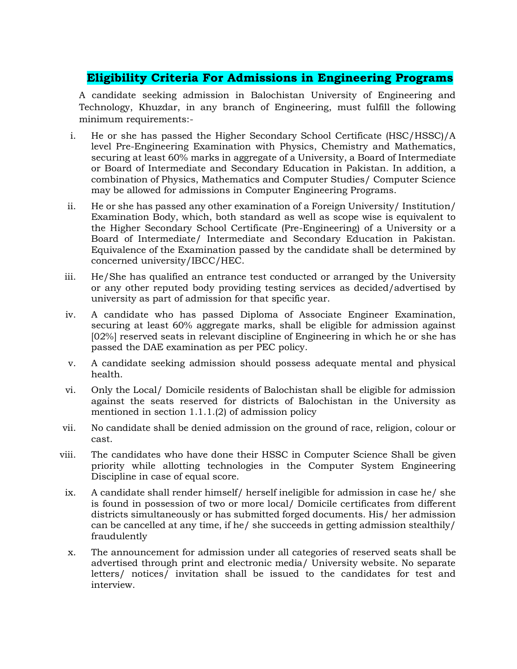## **Eligibility Criteria For Admissions in Engineering Programs**

A candidate seeking admission in Balochistan University of Engineering and Technology, Khuzdar, in any branch of Engineering, must fulfill the following minimum requirements:-

- i. He or she has passed the Higher Secondary School Certificate (HSC/HSSC)/A level Pre-Engineering Examination with Physics, Chemistry and Mathematics, securing at least 60% marks in aggregate of a University, a Board of Intermediate or Board of Intermediate and Secondary Education in Pakistan. In addition, a combination of Physics, Mathematics and Computer Studies/ Computer Science may be allowed for admissions in Computer Engineering Programs.
- ii. He or she has passed any other examination of a Foreign University/ Institution/ Examination Body, which, both standard as well as scope wise is equivalent to the Higher Secondary School Certificate (Pre-Engineering) of a University or a Board of Intermediate/ Intermediate and Secondary Education in Pakistan. Equivalence of the Examination passed by the candidate shall be determined by concerned university/IBCC/HEC.
- iii. He/She has qualified an entrance test conducted or arranged by the University or any other reputed body providing testing services as decided/advertised by university as part of admission for that specific year.
- iv. A candidate who has passed Diploma of Associate Engineer Examination, securing at least 60% aggregate marks, shall be eligible for admission against [02%] reserved seats in relevant discipline of Engineering in which he or she has passed the DAE examination as per PEC policy.
- v. A candidate seeking admission should possess adequate mental and physical health.
- vi. Only the Local/ Domicile residents of Balochistan shall be eligible for admission against the seats reserved for districts of Balochistan in the University as mentioned in section 1.1.1.(2) of admission policy
- vii. No candidate shall be denied admission on the ground of race, religion, colour or cast.
- viii. The candidates who have done their HSSC in Computer Science Shall be given priority while allotting technologies in the Computer System Engineering Discipline in case of equal score.
- ix. A candidate shall render himself/ herself ineligible for admission in case he/ she is found in possession of two or more local/ Domicile certificates from different districts simultaneously or has submitted forged documents. His/ her admission can be cancelled at any time, if he/ she succeeds in getting admission stealthily/ fraudulently
- x. The announcement for admission under all categories of reserved seats shall be advertised through print and electronic media/ University website. No separate letters/ notices/ invitation shall be issued to the candidates for test and interview.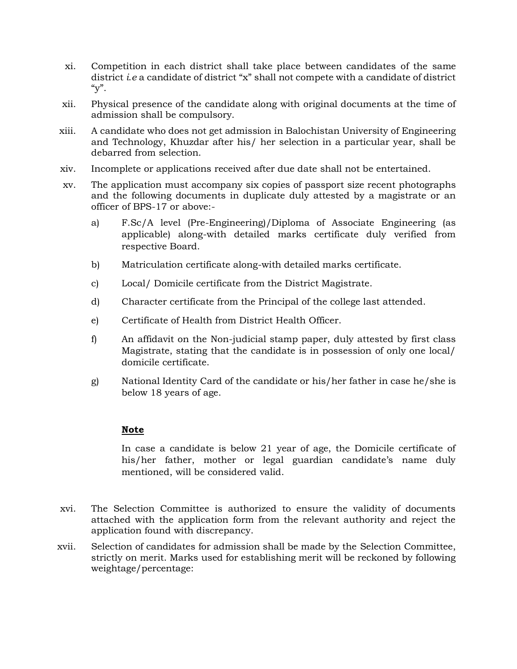- xi. Competition in each district shall take place between candidates of the same district *i*.*e* a candidate of district "x" shall not compete with a candidate of district  $\mathbf{y}$ ".
- xii. Physical presence of the candidate along with original documents at the time of admission shall be compulsory.
- xiii. A candidate who does not get admission in Balochistan University of Engineering and Technology, Khuzdar after his/ her selection in a particular year, shall be debarred from selection.
- xiv. Incomplete or applications received after due date shall not be entertained.
- xv. The application must accompany six copies of passport size recent photographs and the following documents in duplicate duly attested by a magistrate or an officer of BPS-17 or above:
	- a) F.Sc/A level (Pre-Engineering)/Diploma of Associate Engineering (as applicable) along-with detailed marks certificate duly verified from respective Board.
	- b) Matriculation certificate along-with detailed marks certificate.
	- c) Local/ Domicile certificate from the District Magistrate.
	- d) Character certificate from the Principal of the college last attended.
	- e) Certificate of Health from District Health Officer.
	- f) An affidavit on the Non-judicial stamp paper, duly attested by first class Magistrate, stating that the candidate is in possession of only one local/ domicile certificate.
	- g) National Identity Card of the candidate or his/her father in case he/she is below 18 years of age.

### **Note**

 In case a candidate is below 21 year of age, the Domicile certificate of his/her father, mother or legal guardian candidate's name duly mentioned, will be considered valid.

- xvi. The Selection Committee is authorized to ensure the validity of documents attached with the application form from the relevant authority and reject the application found with discrepancy.
- xvii. Selection of candidates for admission shall be made by the Selection Committee, strictly on merit. Marks used for establishing merit will be reckoned by following weightage/percentage: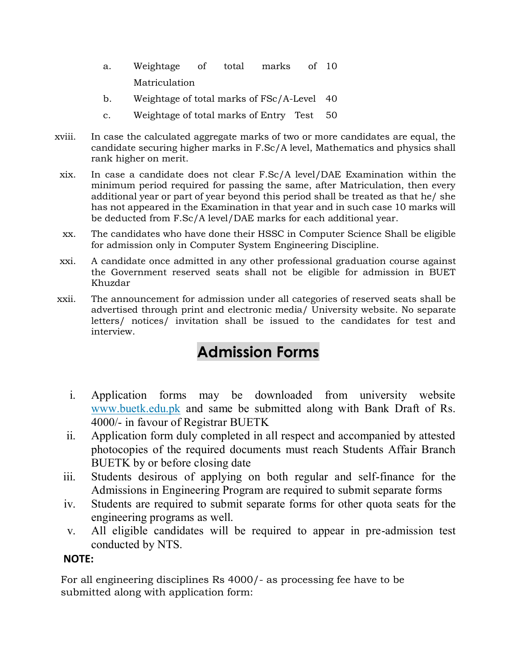- a. Weightage of total marks Matriculation of 10
- b. Weightage of total marks of FSc/A-Level 40
- c. Weightage of total marks of Entry Test 50
- xviii. In case the calculated aggregate marks of two or more candidates are equal, the candidate securing higher marks in F.Sc/A level, Mathematics and physics shall rank higher on merit.
- xix. In case a candidate does not clear F.Sc/A level/DAE Examination within the minimum period required for passing the same, after Matriculation, then every additional year or part of year beyond this period shall be treated as that he/ she has not appeared in the Examination in that year and in such case 10 marks will be deducted from F.Sc/A level/DAE marks for each additional year.
- xx. The candidates who have done their HSSC in Computer Science Shall be eligible for admission only in Computer System Engineering Discipline.
- xxi. A candidate once admitted in any other professional graduation course against the Government reserved seats shall not be eligible for admission in BUET Khuzdar
- xxii. The announcement for admission under all categories of reserved seats shall be advertised through print and electronic media/ University website. No separate letters/ notices/ invitation shall be issued to the candidates for test and interview.

# **Admission Forms**

- i. Application forms may be downloaded from university website [www.buetk.edu.pk](http://www.buetk.edu.pk/) and same be submitted along with Bank Draft of Rs. 4000/- in favour of Registrar BUETK
- ii. Application form duly completed in all respect and accompanied by attested photocopies of the required documents must reach Students Affair Branch BUETK by or before closing date
- iii. Students desirous of applying on both regular and self-finance for the Admissions in Engineering Program are required to submit separate forms
- iv. Students are required to submit separate forms for other quota seats for the engineering programs as well.
- v. All eligible candidates will be required to appear in pre-admission test conducted by NTS.

## **NOTE:**

For all engineering disciplines Rs 4000/- as processing fee have to be submitted along with application form: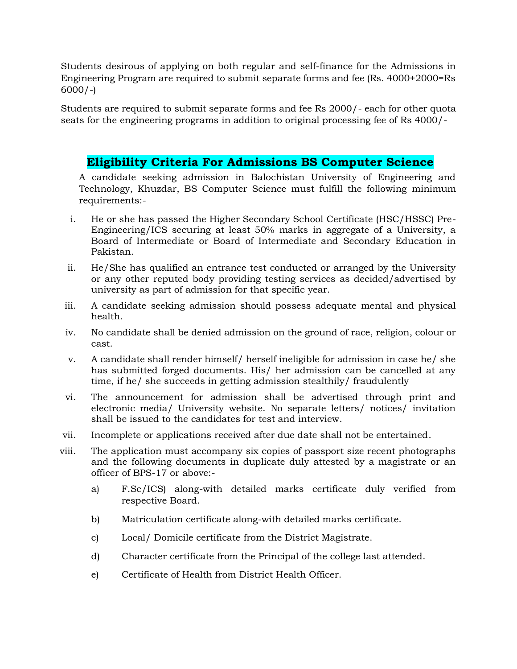Students desirous of applying on both regular and self-finance for the Admissions in Engineering Program are required to submit separate forms and fee (Rs. 4000+2000=Rs 6000/-)

Students are required to submit separate forms and fee Rs 2000/- each for other quota seats for the engineering programs in addition to original processing fee of Rs 4000/-

## **Eligibility Criteria For Admissions BS Computer Science**

A candidate seeking admission in Balochistan University of Engineering and Technology, Khuzdar, BS Computer Science must fulfill the following minimum requirements:-

- i. He or she has passed the Higher Secondary School Certificate (HSC/HSSC) Pre-Engineering/ICS securing at least 50% marks in aggregate of a University, a Board of Intermediate or Board of Intermediate and Secondary Education in Pakistan.
- ii. He/She has qualified an entrance test conducted or arranged by the University or any other reputed body providing testing services as decided/advertised by university as part of admission for that specific year.
- iii. A candidate seeking admission should possess adequate mental and physical health.
- iv. No candidate shall be denied admission on the ground of race, religion, colour or cast.
- v. A candidate shall render himself/ herself ineligible for admission in case he/ she has submitted forged documents. His/ her admission can be cancelled at any time, if he/ she succeeds in getting admission stealthily/ fraudulently
- vi. The announcement for admission shall be advertised through print and electronic media/ University website. No separate letters/ notices/ invitation shall be issued to the candidates for test and interview.
- vii. Incomplete or applications received after due date shall not be entertained.
- viii. The application must accompany six copies of passport size recent photographs and the following documents in duplicate duly attested by a magistrate or an officer of BPS-17 or above:
	- a) F.Sc/ICS) along-with detailed marks certificate duly verified from respective Board.
	- b) Matriculation certificate along-with detailed marks certificate.
	- c) Local/ Domicile certificate from the District Magistrate.
	- d) Character certificate from the Principal of the college last attended.
	- e) Certificate of Health from District Health Officer.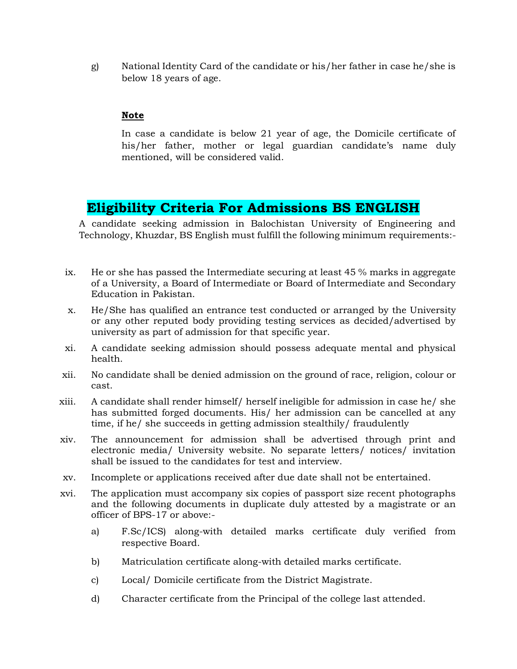g) National Identity Card of the candidate or his/her father in case he/she is below 18 years of age.

#### **Note**

 In case a candidate is below 21 year of age, the Domicile certificate of his/her father, mother or legal guardian candidate's name duly mentioned, will be considered valid.

# **Eligibility Criteria For Admissions BS ENGLISH**

A candidate seeking admission in Balochistan University of Engineering and Technology, Khuzdar, BS English must fulfill the following minimum requirements:-

- ix. He or she has passed the Intermediate securing at least 45 % marks in aggregate of a University, a Board of Intermediate or Board of Intermediate and Secondary Education in Pakistan.
- x. He/She has qualified an entrance test conducted or arranged by the University or any other reputed body providing testing services as decided/advertised by university as part of admission for that specific year.
- xi. A candidate seeking admission should possess adequate mental and physical health.
- xii. No candidate shall be denied admission on the ground of race, religion, colour or cast.
- xiii. A candidate shall render himself/ herself ineligible for admission in case he/ she has submitted forged documents. His/ her admission can be cancelled at any time, if he/ she succeeds in getting admission stealthily/ fraudulently
- xiv. The announcement for admission shall be advertised through print and electronic media/ University website. No separate letters/ notices/ invitation shall be issued to the candidates for test and interview.
- xv. Incomplete or applications received after due date shall not be entertained.
- xvi. The application must accompany six copies of passport size recent photographs and the following documents in duplicate duly attested by a magistrate or an officer of BPS-17 or above:
	- a) F.Sc/ICS) along-with detailed marks certificate duly verified from respective Board.
	- b) Matriculation certificate along-with detailed marks certificate.
	- c) Local/ Domicile certificate from the District Magistrate.
	- d) Character certificate from the Principal of the college last attended.